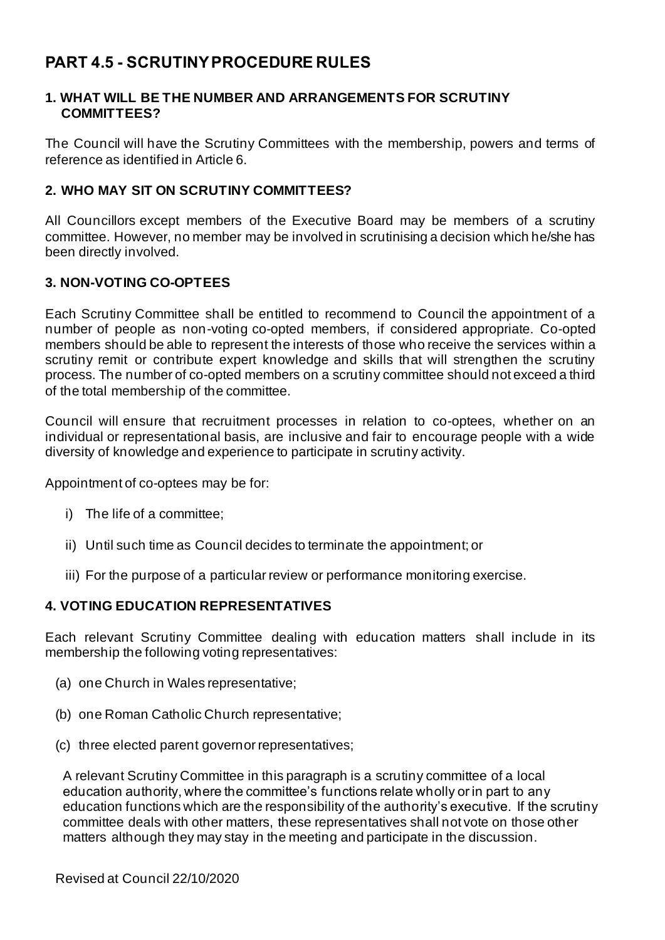# **PART 4.5 - SCRUTINY PROCEDURE RULES**

#### **1. WHAT WILL BE THE NUMBER AND ARRANGEMENTS FOR SCRUTINY COMMITTEES?**

The Council will have the Scrutiny Committees with the membership, powers and terms of reference as identified in Article 6.

#### **2. WHO MAY SIT ON SCRUTINY COMMITTEES?**

All Councillors except members of the Executive Board may be members of a scrutiny committee. However, no member may be involved in scrutinising a decision which he/she has been directly involved.

# **3. NON-VOTING CO-OPTEES**

Each Scrutiny Committee shall be entitled to recommend to Council the appointment of a number of people as non-voting co-opted members, if considered appropriate. Co-opted members should be able to represent the interests of those who receive the services within a scrutiny remit or contribute expert knowledge and skills that will strengthen the scrutiny process. The number of co-opted members on a scrutiny committee should not exceed a third of the total membership of the committee.

Council will ensure that recruitment processes in relation to co-optees, whether on an individual or representational basis, are inclusive and fair to encourage people with a wide diversity of knowledge and experience to participate in scrutiny activity.

Appointment of co-optees may be for:

- i) The life of a committee;
- ii) Until such time as Council decides to terminate the appointment; or
- iii) For the purpose of a particular review or performance monitoring exercise.

#### **4. VOTING EDUCATION REPRESENTATIVES**

Each relevant Scrutiny Committee dealing with education matters shall include in its membership the following voting representatives:

- (a) one Church in Wales representative;
- (b) one Roman Catholic Church representative;
- (c) three elected parent governor representatives;

A relevant Scrutiny Committee in this paragraph is a scrutiny committee of a local education authority, where the committee's functions relate wholly or in part to any education functions which are the responsibility of the authority's executive. If the scrutiny committee deals with other matters, these representatives shall not vote on those other matters although they may stay in the meeting and participate in the discussion.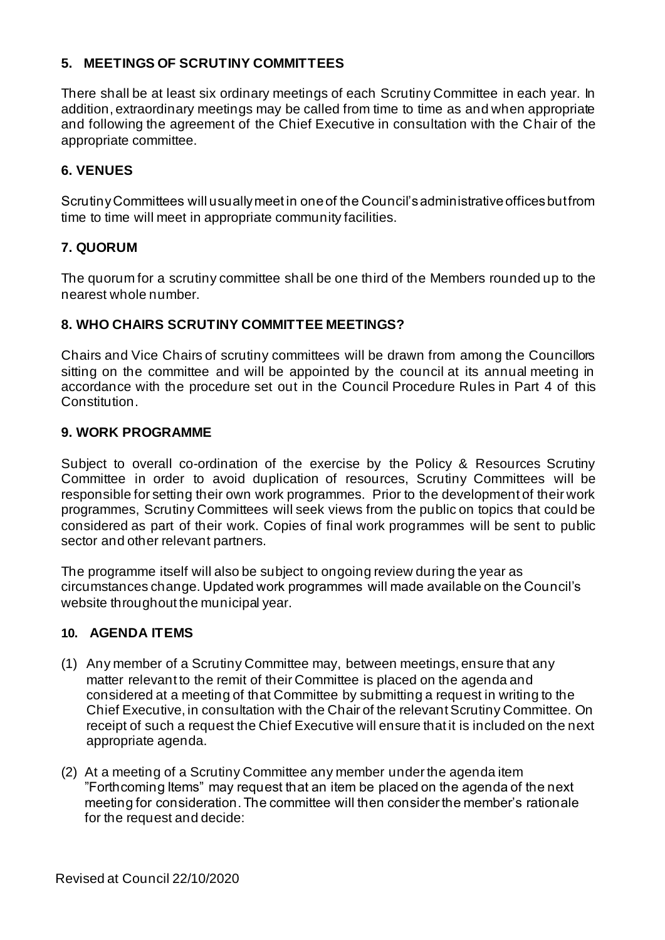# **5. MEETINGS OF SCRUTINY COMMITTEES**

There shall be at least six ordinary meetings of each Scrutiny Committee in each year. In addition, extraordinary meetings may be called from time to time as and when appropriate and following the agreement of the Chief Executive in consultation with the Chair of the appropriate committee.

# **6. VENUES**

Scrutiny Committees will usually meet in one of the Council's administrative offices but from time to time will meet in appropriate community facilities.

# **7. QUORUM**

The quorum for a scrutiny committee shall be one third of the Members rounded up to the nearest whole number.

# **8. WHO CHAIRS SCRUTINY COMMITTEE MEETINGS?**

Chairs and Vice Chairs of scrutiny committees will be drawn from among the Councillors sitting on the committee and will be appointed by the council at its annual meeting in accordance with the procedure set out in the Council Procedure Rules in Part 4 of this Constitution.

#### **9. WORK PROGRAMME**

Subject to overall co-ordination of the exercise by the Policy & Resources Scrutiny Committee in order to avoid duplication of resources, Scrutiny Committees will be responsible for setting their own work programmes. Prior to the development of their work programmes, Scrutiny Committees will seek views from the public on topics that could be considered as part of their work. Copies of final work programmes will be sent to public sector and other relevant partners.

The programme itself will also be subject to ongoing review during the year as circumstances change. Updated work programmes will made available on the Council's website throughout the municipal year.

# **10. AGENDA ITEMS**

- (1) Any member of a Scrutiny Committee may, between meetings, ensure that any matter relevant to the remit of their Committee is placed on the agenda and considered at a meeting of that Committee by submitting a request in writing to the Chief Executive, in consultation with the Chair of the relevant Scrutiny Committee. On receipt of such a request the Chief Executive will ensure that it is included on the next appropriate agenda.
- (2) At a meeting of a Scrutiny Committee any member under the agenda item "Forthcoming Items" may request that an item be placed on the agenda of the next meeting for consideration. The committee will then consider the member's rationale for the request and decide: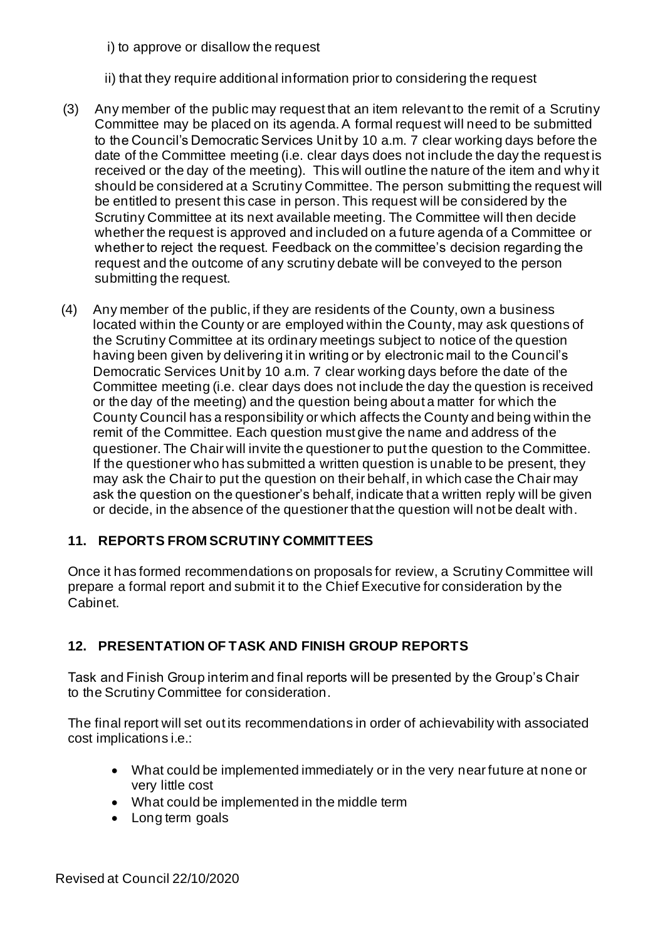i) to approve or disallow the request

ii) that they require additional information prior to considering the request

- (3) Any member of the public may request that an item relevant to the remit of a Scrutiny Committee may be placed on its agenda. A formal request will need to be submitted to the Council's Democratic Services Unit by 10 a.m. 7 clear working days before the date of the Committee meeting (i.e. clear days does not include the day the request is received or the day of the meeting). This will outline the nature of the item and why it should be considered at a Scrutiny Committee. The person submitting the request will be entitled to present this case in person. This request will be considered by the Scrutiny Committee at its next available meeting. The Committee will then decide whether the request is approved and included on a future agenda of a Committee or whether to reject the request. Feedback on the committee's decision regarding the request and the outcome of any scrutiny debate will be conveyed to the person submitting the request.
- (4) Any member of the public, if they are residents of the County, own a business located within the County or are employed within the County, may ask questions of the Scrutiny Committee at its ordinary meetings subject to notice of the question having been given by delivering it in writing or by electronic mail to the Council's Democratic Services Unit by 10 a.m. 7 clear working days before the date of the Committee meeting (i.e. clear days does not include the day the question is received or the day of the meeting) and the question being about a matter for which the County Council has a responsibility or which affects the County and being within the remit of the Committee. Each question must give the name and address of the questioner. The Chair will invite the questioner to put the question to the Committee. If the questioner who has submitted a written question is unable to be present, they may ask the Chair to put the question on their behalf, in which case the Chair may ask the question on the questioner's behalf, indicate that a written reply will be given or decide, in the absence of the questioner that the question will not be dealt with.

# **11. REPORTS FROM SCRUTINY COMMITTEES**

Once it has formed recommendations on proposals for review, a Scrutiny Committee will prepare a formal report and submit it to the Chief Executive for consideration by the Cabinet.

# **12. PRESENTATION OF TASK AND FINISH GROUP REPORTS**

Task and Finish Group interim and final reports will be presented by the Group's Chair to the Scrutiny Committee for consideration.

The final report will set out its recommendations in order of achievability with associated cost implications i.e.:

- What could be implemented immediately or in the very near future at none or very little cost
- What could be implemented in the middle term
- Long term goals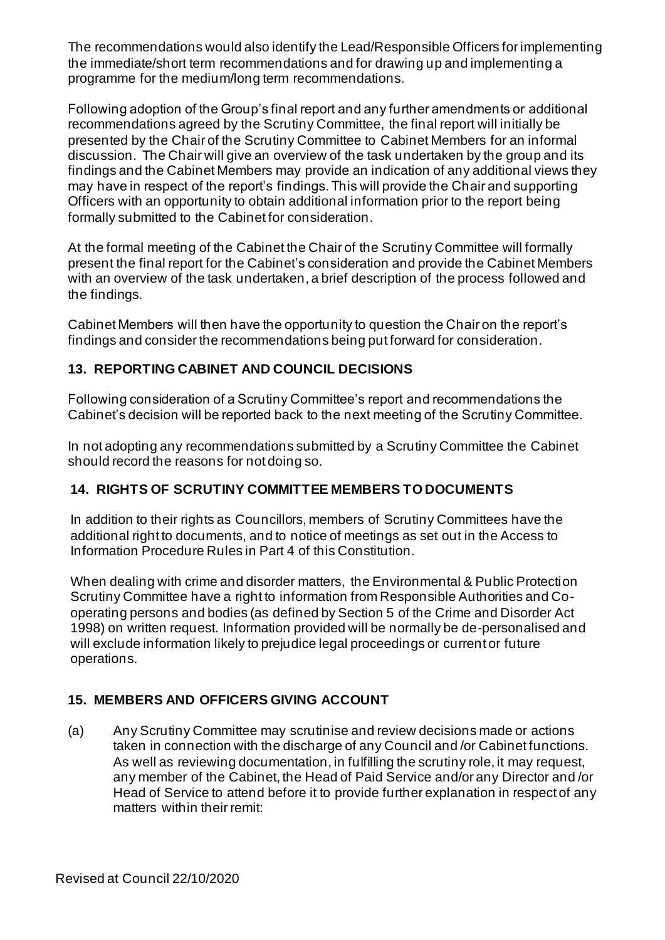The recommendations would also identify the Lead/Responsible Officers for implementing the immediate/short term recommendations and for drawing up and implementing a programme for the medium/long term recommendations.

Following adoption of the Group's final report and any further amendments or additional recommendations agreed by the Scrutiny Committee, the final report will initially be presented by the Chair of the Scrutiny Committee to Cabinet Members for an informal discussion. The Chair will give an overview of the task undertaken by the group and its findings and the Cabinet Members may provide an indication of any additional views they may have in respect of the report's findings. This will provide the Chair and supporting Officers with an opportunity to obtain additional information prior to the report being formally submitted to the Cabinet for consideration.

At the formal meeting of the Cabinet the Chair of the Scrutiny Committee will formally present the final report for the Cabinet's consideration and provide the Cabinet Members with an overview of the task undertaken, a brief description of the process followed and the findings.

Cabinet Members will then have the opportunity to question the Chair on the report's findings and consider the recommendations being put forward for consideration.

# **13. REPORTING CABINET AND COUNCIL DECISIONS**

Following consideration of a Scrutiny Committee's report and recommendations the Cabinet's decision will be reported back to the next meeting of the Scrutiny Committee.

In not adopting any recommendations submitted by a Scrutiny Committee the Cabinet should record the reasons for not doing so.

# **14. RIGHTS OF SCRUTINY COMMITTEE MEMBERS TO DOCUMENTS**

In addition to their rights as Councillors, members of Scrutiny Committees have the additional right to documents, and to notice of meetings as set out in the Access to Information Procedure Rules in Part 4 of this Constitution.

When dealing with crime and disorder matters, the Environmental & Public Protection Scrutiny Committee have a right to information from Responsible Authorities and Cooperating persons and bodies (as defined by Section 5 of the Crime and Disorder Act 1998) on written request. Information provided will be normally be de-personalised and will exclude information likely to prejudice legal proceedings or current or future operations.

# **15. MEMBERS AND OFFICERS GIVING ACCOUNT**

(a) Any Scrutiny Committee may scrutinise and review decisions made or actions taken in connection with the discharge of any Council and /or Cabinet functions. As well as reviewing documentation, in fulfilling the scrutiny role, it may request, any member of the Cabinet, the Head of Paid Service and/or any Director and /or Head of Service to attend before it to provide further explanation in respect of any matters within their remit: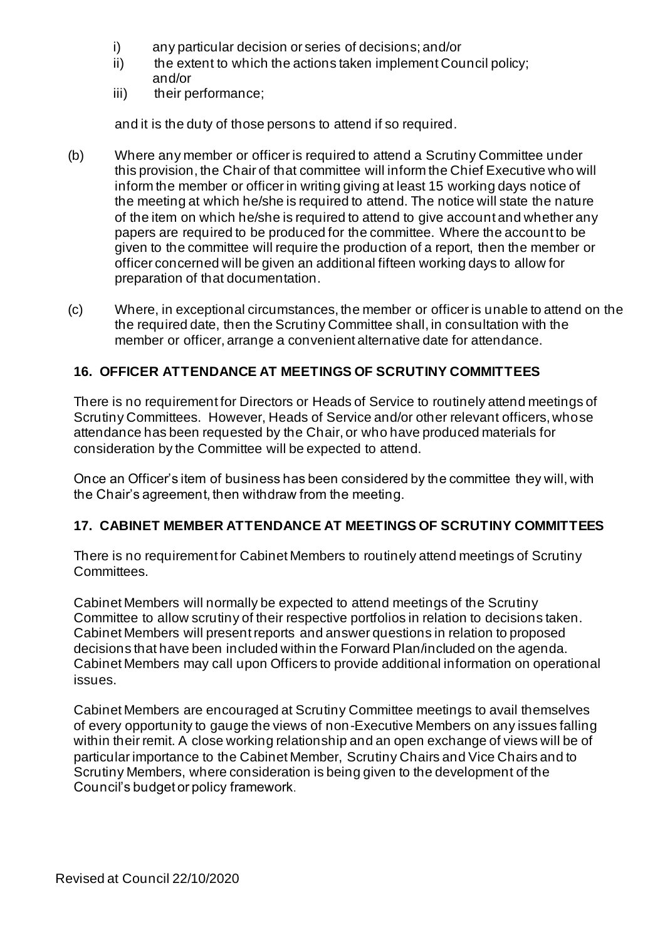- i) any particular decision or series of decisions; and/or
- ii) the extent to which the actions taken implement Council policy; and/or
- iii) their performance;

and it is the duty of those persons to attend if so required.

- (b) Where any member or officer is required to attend a Scrutiny Committee under this provision, the Chair of that committee will inform the Chief Executive who will inform the member or officer in writing giving at least 15 working days notice of the meeting at which he/she is required to attend. The notice will state the nature of the item on which he/she is required to attend to give account and whether any papers are required to be produced for the committee. Where the account to be given to the committee will require the production of a report, then the member or officer concerned will be given an additional fifteen working days to allow for preparation of that documentation.
- (c) Where, in exceptional circumstances, the member or officer is unable to attend on the the required date, then the Scrutiny Committee shall, in consultation with the member or officer, arrange a convenient alternative date for attendance.

# **16. OFFICER ATTENDANCE AT MEETINGS OF SCRUTINY COMMITTEES**

There is no requirement for Directors or Heads of Service to routinely attend meetings of Scrutiny Committees. However, Heads of Service and/or other relevant officers, whose attendance has been requested by the Chair, or who have produced materials for consideration by the Committee will be expected to attend.

Once an Officer's item of business has been considered by the committee they will, with the Chair's agreement, then withdraw from the meeting.

# **17. CABINET MEMBER ATTENDANCE AT MEETINGS OF SCRUTINY COMMITTEES**

There is no requirement for Cabinet Members to routinely attend meetings of Scrutiny Committees.

Cabinet Members will normally be expected to attend meetings of the Scrutiny Committee to allow scrutiny of their respective portfolios in relation to decisions taken. Cabinet Members will present reports and answer questions in relation to proposed decisions that have been included within the Forward Plan/included on the agenda. Cabinet Members may call upon Officers to provide additional information on operational issues.

Cabinet Members are encouraged at Scrutiny Committee meetings to avail themselves of every opportunity to gauge the views of non-Executive Members on any issues falling within their remit. A close working relationship and an open exchange of views will be of particular importance to the Cabinet Member, Scrutiny Chairs and Vice Chairs and to Scrutiny Members, where consideration is being given to the development of the Council's budget or policy framework.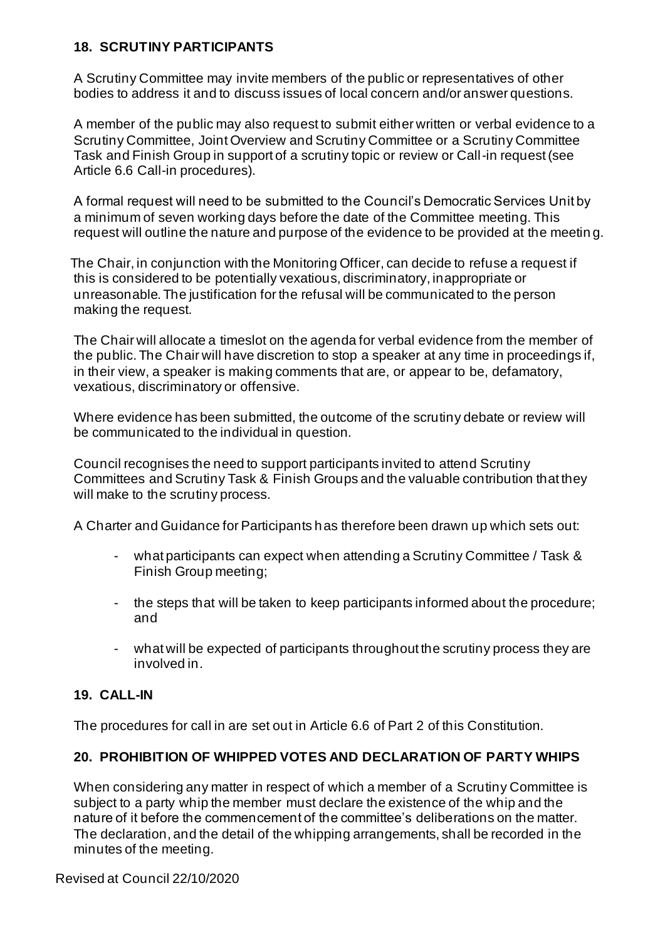#### **18. SCRUTINY PARTICIPANTS**

A Scrutiny Committee may invite members of the public or representatives of other bodies to address it and to discuss issues of local concern and/or answer questions.

A member of the public may also request to submit either written or verbal evidence to a Scrutiny Committee, Joint Overview and Scrutiny Committee or a Scrutiny Committee Task and Finish Group in support of a scrutiny topic or review or Call-in request (see Article 6.6 Call-in procedures).

A formal request will need to be submitted to the Council's Democratic Services Unit by a minimum of seven working days before the date of the Committee meeting. This request will outline the nature and purpose of the evidence to be provided at the meetin g.

The Chair, in conjunction with the Monitoring Officer, can decide to refuse a request if this is considered to be potentially vexatious, discriminatory, inappropriate or unreasonable. The justification for the refusal will be communicated to the person making the request.

The Chair will allocate a timeslot on the agenda for verbal evidence from the member of the public. The Chair will have discretion to stop a speaker at any time in proceedings if, in their view, a speaker is making comments that are, or appear to be, defamatory, vexatious, discriminatory or offensive.

Where evidence has been submitted, the outcome of the scrutiny debate or review will be communicated to the individual in question.

Council recognises the need to support participants invited to attend Scrutiny Committees and Scrutiny Task & Finish Groups and the valuable contribution that they will make to the scrutiny process.

A Charter and Guidance for Participants has therefore been drawn up which sets out:

- what participants can expect when attending a Scrutiny Committee / Task & Finish Group meeting;
- the steps that will be taken to keep participants informed about the procedure; and
- what will be expected of participants throughout the scrutiny process they are involved in.

# **19. CALL-IN**

The procedures for call in are set out in Article 6.6 of Part 2 of this Constitution.

# **20. PROHIBITION OF WHIPPED VOTES AND DECLARATION OF PARTY WHIPS**

When considering any matter in respect of which a member of a Scrutiny Committee is subject to a party whip the member must declare the existence of the whip and the nature of it before the commencement of the committee's deliberations on the matter. The declaration, and the detail of the whipping arrangements, shall be recorded in the minutes of the meeting.

Revised at Council 22/10/2020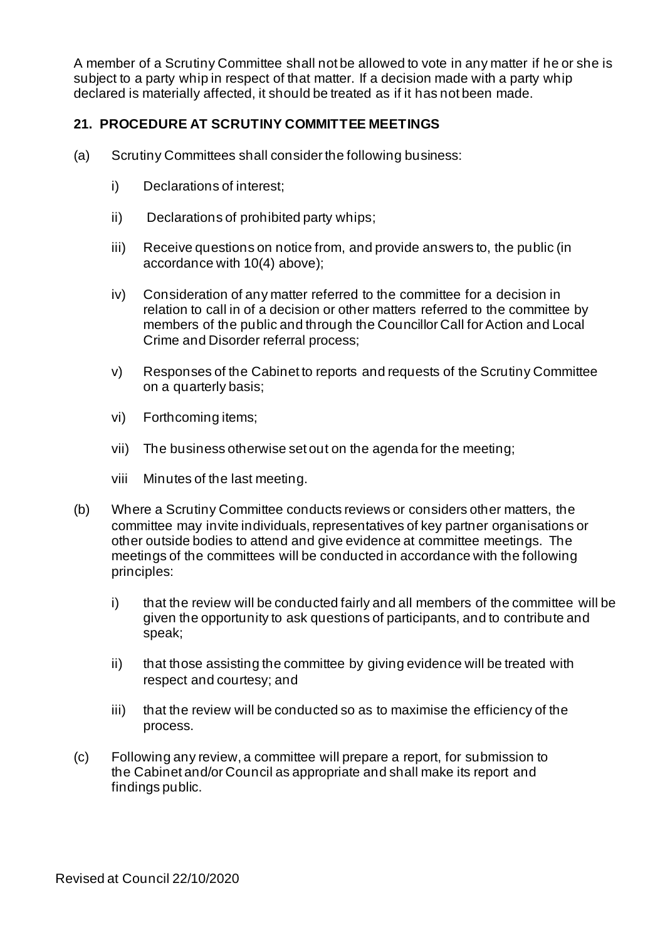A member of a Scrutiny Committee shall not be allowed to vote in any matter if he or she is subject to a party whip in respect of that matter. If a decision made with a party whip declared is materially affected, it should be treated as if it has not been made.

# **21. PROCEDURE AT SCRUTINY COMMITTEE MEETINGS**

- (a) Scrutiny Committees shall consider the following business:
	- i) Declarations of interest;
	- ii) Declarations of prohibited party whips;
	- iii) Receive questions on notice from, and provide answers to, the public (in accordance with 10(4) above);
	- iv) Consideration of any matter referred to the committee for a decision in relation to call in of a decision or other matters referred to the committee by members of the public and through the Councillor Call for Action and Local Crime and Disorder referral process;
	- v) Responses of the Cabinet to reports and requests of the Scrutiny Committee on a quarterly basis;
	- vi) Forthcoming items;
	- vii) The business otherwise set out on the agenda for the meeting;
	- viii Minutes of the last meeting.
- (b) Where a Scrutiny Committee conducts reviews or considers other matters, the committee may invite individuals, representatives of key partner organisations or other outside bodies to attend and give evidence at committee meetings. The meetings of the committees will be conducted in accordance with the following principles:
	- i) that the review will be conducted fairly and all members of the committee will be given the opportunity to ask questions of participants, and to contribute and speak;
	- ii) that those assisting the committee by giving evidence will be treated with respect and courtesy; and
	- iii) that the review will be conducted so as to maximise the efficiency of the process.
- (c) Following any review, a committee will prepare a report, for submission to the Cabinet and/or Council as appropriate and shall make its report and findings public.